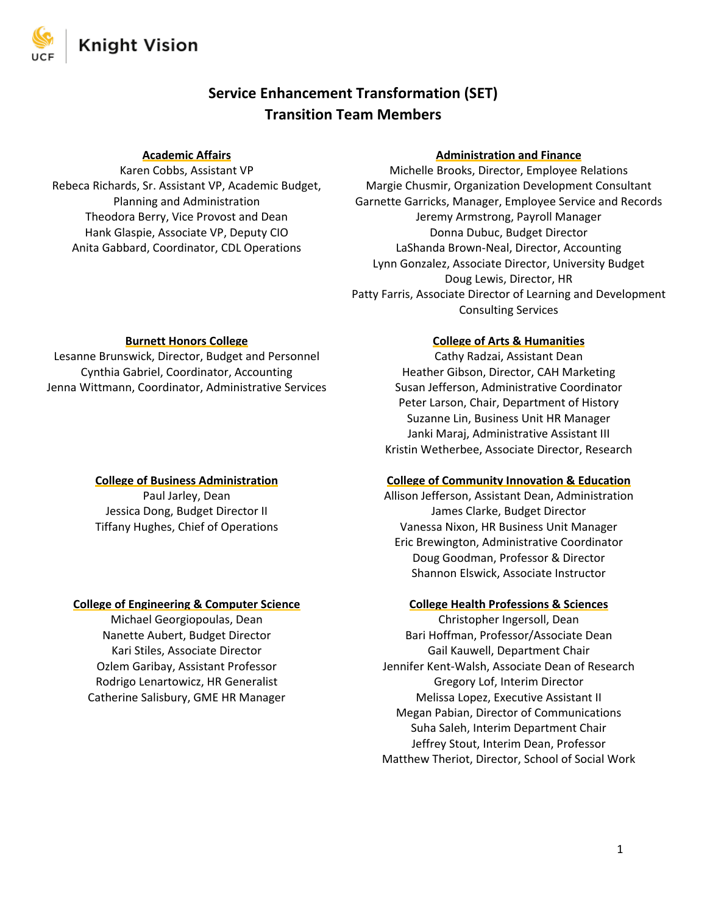

# **Service Enhancement Transformation (SET) Transition Team Members**

# **Academic Affairs**

Karen Cobbs, Assistant VP Rebeca Richards, Sr. Assistant VP, Academic Budget, Planning and Administration Theodora Berry, Vice Provost and Dean Hank Glaspie, Associate VP, Deputy CIO Anita Gabbard, Coordinator, CDL Operations

## **Administration and Finance**

Michelle Brooks, Director, Employee Relations Margie Chusmir, Organization Development Consultant Garnette Garricks, Manager, Employee Service and Records Jeremy Armstrong, Payroll Manager Donna Dubuc, Budget Director LaShanda Brown-Neal, Director, Accounting Lynn Gonzalez, Associate Director, University Budget Doug Lewis, Director, HR Patty Farris, Associate Director of Learning and Development Consulting Services

## **Burnett Honors College**

Lesanne Brunswick, Director, Budget and Personnel Cynthia Gabriel, Coordinator, Accounting Jenna Wittmann, Coordinator, Administrative Services

# **College of Business Administration**

Paul Jarley, Dean Jessica Dong, Budget Director II Tiffany Hughes, Chief of Operations

# **College of Engineering & Computer Science**

Michael Georgiopoulas, Dean Nanette Aubert, Budget Director Kari Stiles, Associate Director Ozlem Garibay, Assistant Professor Rodrigo Lenartowicz, HR Generalist Catherine Salisbury, GME HR Manager

# **College of Arts & Humanities**

Cathy Radzai, Assistant Dean Heather Gibson, Director, CAH Marketing Susan Jefferson, Administrative Coordinator Peter Larson, Chair, Department of History Suzanne Lin, Business Unit HR Manager Janki Maraj, Administrative Assistant III Kristin Wetherbee, Associate Director, Research

### **College of Community Innovation & Education**

Allison Jefferson, Assistant Dean, Administration James Clarke, Budget Director Vanessa Nixon, HR Business Unit Manager Eric Brewington, Administrative Coordinator Doug Goodman, Professor & Director Shannon Elswick, Associate Instructor

# **College Health Professions & Sciences**

Christopher Ingersoll, Dean Bari Hoffman, Professor/Associate Dean Gail Kauwell, Department Chair Jennifer Kent-Walsh, Associate Dean of Research Gregory Lof, Interim Director Melissa Lopez, Executive Assistant II Megan Pabian, Director of Communications Suha Saleh, Interim Department Chair Jeffrey Stout, Interim Dean, Professor Matthew Theriot, Director, School of Social Work